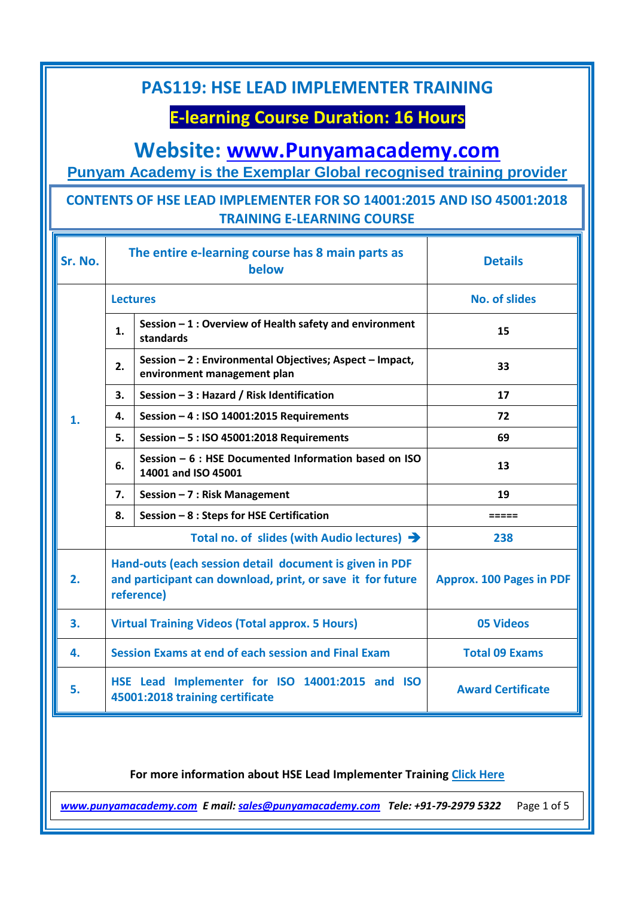# **E-learning Course Duration: 16 Hours**

## **Website: [www.Punyamacademy.com](http://www.punyamacademy.com/)**

**Punyam Academy is the Exemplar Global recognised training provider**

#### **CONTENTS OF HSE LEAD IMPLEMENTER FOR SO 14001:2015 AND ISO 45001:2018 TRAINING E-LEARNING COURSE**

| Sr. No. | The entire e-learning course has 8 main parts as<br>below                                                                           |                                                                                         | <b>Details</b>                  |
|---------|-------------------------------------------------------------------------------------------------------------------------------------|-----------------------------------------------------------------------------------------|---------------------------------|
| 1.      | <b>Lectures</b>                                                                                                                     |                                                                                         | <b>No. of slides</b>            |
|         | 1.                                                                                                                                  | Session - 1 : Overview of Health safety and environment<br>standards                    | 15                              |
|         | 2.                                                                                                                                  | Session - 2 : Environmental Objectives; Aspect - Impact,<br>environment management plan | 33                              |
|         | 3.                                                                                                                                  | Session - 3 : Hazard / Risk Identification                                              | 17                              |
|         | 4.                                                                                                                                  | Session - 4 : ISO 14001:2015 Requirements                                               | 72                              |
|         | 5.                                                                                                                                  | Session - 5 : ISO 45001:2018 Requirements                                               | 69                              |
|         | 6.                                                                                                                                  | Session $-6$ : HSE Documented Information based on ISO<br>14001 and ISO 45001           | 13                              |
|         | 7.                                                                                                                                  | Session $-7$ : Risk Management                                                          | 19                              |
|         | 8.                                                                                                                                  | Session - 8 : Steps for HSE Certification                                               | =====                           |
|         | Total no. of slides (with Audio lectures) $\rightarrow$                                                                             |                                                                                         | 238                             |
| 2.      | Hand-outs (each session detail document is given in PDF<br>and participant can download, print, or save it for future<br>reference) |                                                                                         | <b>Approx. 100 Pages in PDF</b> |
| 3.      | <b>Virtual Training Videos (Total approx. 5 Hours)</b>                                                                              |                                                                                         | <b>05 Videos</b>                |
| 4.      | <b>Session Exams at end of each session and Final Exam</b>                                                                          |                                                                                         | <b>Total 09 Exams</b>           |
| 5.      | HSE Lead Implementer for ISO 14001:2015 and ISO<br><b>Award Certificate</b><br>45001:2018 training certificate                      |                                                                                         |                                 |

#### **For more information about HSE Lead Implementer Training [Click Here](https://www.punyamacademy.com/course/hse/hse-lead-implementer-training)**

*[www.punyamacademy.com](https://www.punyamacademy.com/) E mail[: sales@punyamacademy.com](mailto:sales@punyamacademy.com) Tele: +91-79-2979 5322* Page 1 of 5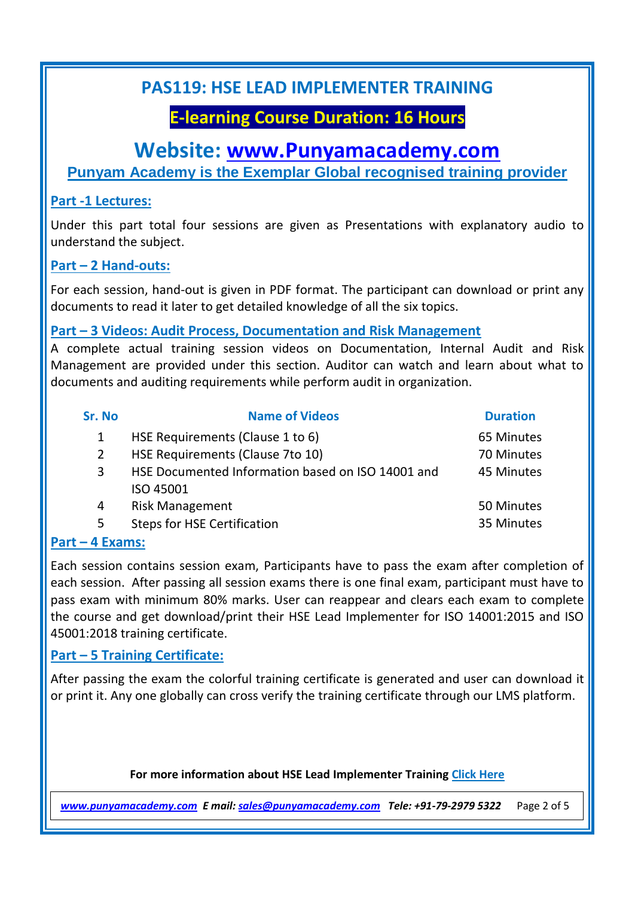# **E-learning Course Duration: 16 Hours**

### **Website: [www.Punyamacademy.com](http://www.punyamacademy.com/)**

**Punyam Academy is the Exemplar Global recognised training provider**

#### **Part -1 Lectures:**

Under this part total four sessions are given as Presentations with explanatory audio to understand the subject.

#### **Part – 2 Hand-outs:**

For each session, hand-out is given in PDF format. The participant can download or print any documents to read it later to get detailed knowledge of all the six topics.

#### **Part – 3 Videos: Audit Process, Documentation and Risk Management**

A complete actual training session videos on Documentation, Internal Audit and Risk Management are provided under this section. Auditor can watch and learn about what to documents and auditing requirements while perform audit in organization.

| <b>Sr. No</b> | <b>Name of Videos</b>                             | <b>Duration</b> |
|---------------|---------------------------------------------------|-----------------|
| 1             | HSE Requirements (Clause 1 to 6)                  | 65 Minutes      |
| 2             | HSE Requirements (Clause 7to 10)                  | 70 Minutes      |
| 3             | HSE Documented Information based on ISO 14001 and | 45 Minutes      |
|               | ISO 45001                                         |                 |
| 4             | <b>Risk Management</b>                            | 50 Minutes      |
| 5             | <b>Steps for HSE Certification</b>                | 35 Minutes      |

#### **Part – 4 Exams:**

Each session contains session exam, Participants have to pass the exam after completion of each session. After passing all session exams there is one final exam, participant must have to pass exam with minimum 80% marks. User can reappear and clears each exam to complete the course and get download/print their HSE Lead Implementer for ISO 14001:2015 and ISO 45001:2018 training certificate.

#### **Part – 5 Training Certificate:**

After passing the exam the colorful training certificate is generated and user can download it or print it. Any one globally can cross verify the training certificate through our LMS platform.

#### **For more information about HSE Lead Implementer Training [Click Here](https://www.punyamacademy.com/course/hse/hse-lead-implementer-training)**

*[www.punyamacademy.com](https://www.punyamacademy.com/) E mail[: sales@punyamacademy.com](mailto:sales@punyamacademy.com) Tele: +91-79-2979 5322* Page 2 of 5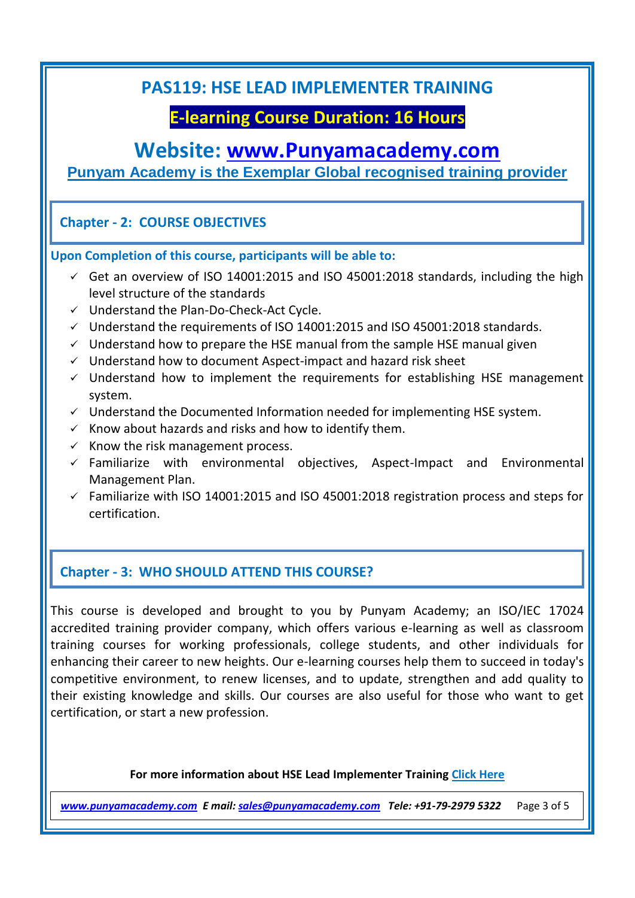## **E-learning Course Duration: 16 Hours**

## **Website: [www.Punyamacademy.com](http://www.punyamacademy.com/)**

**Punyam Academy is the Exemplar Global recognised training provider**

#### **Chapter - 2: COURSE OBJECTIVES**

**Upon Completion of this course, participants will be able to:** 

- $\checkmark$  Get an overview of ISO 14001:2015 and ISO 45001:2018 standards, including the high level structure of the standards
- $\checkmark$  Understand the Plan-Do-Check-Act Cycle.
- $\checkmark$  Understand the requirements of ISO 14001:2015 and ISO 45001:2018 standards.
- $\checkmark$  Understand how to prepare the HSE manual from the sample HSE manual given
- $\checkmark$  Understand how to document Aspect-impact and hazard risk sheet
- $\checkmark$  Understand how to implement the requirements for establishing HSE management system.
- $\checkmark$  Understand the Documented Information needed for implementing HSE system.
- $\checkmark$  Know about hazards and risks and how to identify them.
- $\times$  Know the risk management process.
- $\checkmark$  Familiarize with environmental objectives, Aspect-Impact and Environmental Management Plan.
- $\checkmark$  Familiarize with ISO 14001:2015 and ISO 45001:2018 registration process and steps for certification.

#### **Chapter - 3: WHO SHOULD ATTEND THIS COURSE?**

This course is developed and brought to you by Punyam Academy; an ISO/IEC 17024 accredited training provider company, which offers various e-learning as well as classroom training courses for working professionals, college students, and other individuals for enhancing their career to new heights. Our e-learning courses help them to succeed in today's competitive environment, to renew licenses, and to update, strengthen and add quality to their existing knowledge and skills. Our courses are also useful for those who want to get certification, or start a new profession.

**For more information about HSE Lead Implementer Training [Click Here](https://www.punyamacademy.com/course/hse/hse-lead-implementer-training)**

*[www.punyamacademy.com](https://www.punyamacademy.com/) E mail[: sales@punyamacademy.com](mailto:sales@punyamacademy.com) Tele: +91-79-2979 5322* Page 3 of 5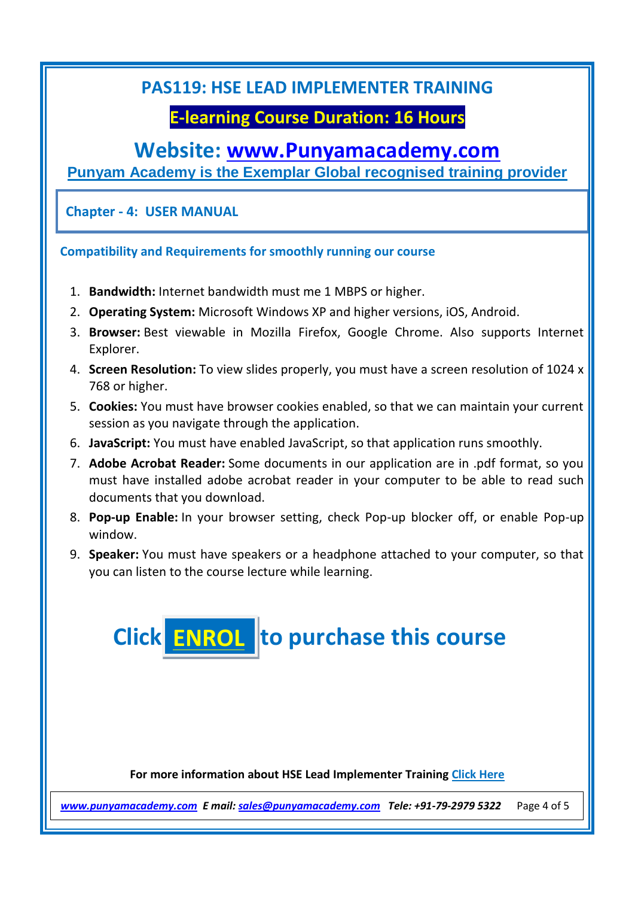## **E-learning Course Duration: 16 Hours**

## **Website: [www.Punyamacademy.com](http://www.punyamacademy.com/)**

**Punyam Academy is the Exemplar Global recognised training provider**

**Chapter - 4: USER MANUAL**

**Compatibility and Requirements for smoothly running our course**

- 1. **Bandwidth:** Internet bandwidth must me 1 MBPS or higher.
- 2. **Operating System:** Microsoft Windows XP and higher versions, iOS, Android.
- 3. **Browser:** Best viewable in Mozilla Firefox, Google Chrome. Also supports Internet Explorer.
- 4. **Screen Resolution:** To view slides properly, you must have a screen resolution of 1024 x 768 or higher.
- 5. **Cookies:** You must have browser cookies enabled, so that we can maintain your current session as you navigate through the application.
- 6. **JavaScript:** You must have enabled JavaScript, so that application runs smoothly.
- 7. **Adobe Acrobat Reader:** Some documents in our application are in .pdf format, so you must have installed adobe acrobat reader in your computer to be able to read such documents that you download.
- 8. **Pop-up Enable:** In your browser setting, check Pop-up blocker off, or enable Pop-up window.
- 9. **Speaker:** You must have speakers or a headphone attached to your computer, so that you can listen to the course lecture while learning.



**For more information about HSE Lead Implementer Training [Click Here](https://www.punyamacademy.com/course/hse/hse-lead-implementer-training)**

*[www.punyamacademy.com](https://www.punyamacademy.com/) E mail[: sales@punyamacademy.com](mailto:sales@punyamacademy.com) Tele: +91-79-2979 5322* Page 4 of 5